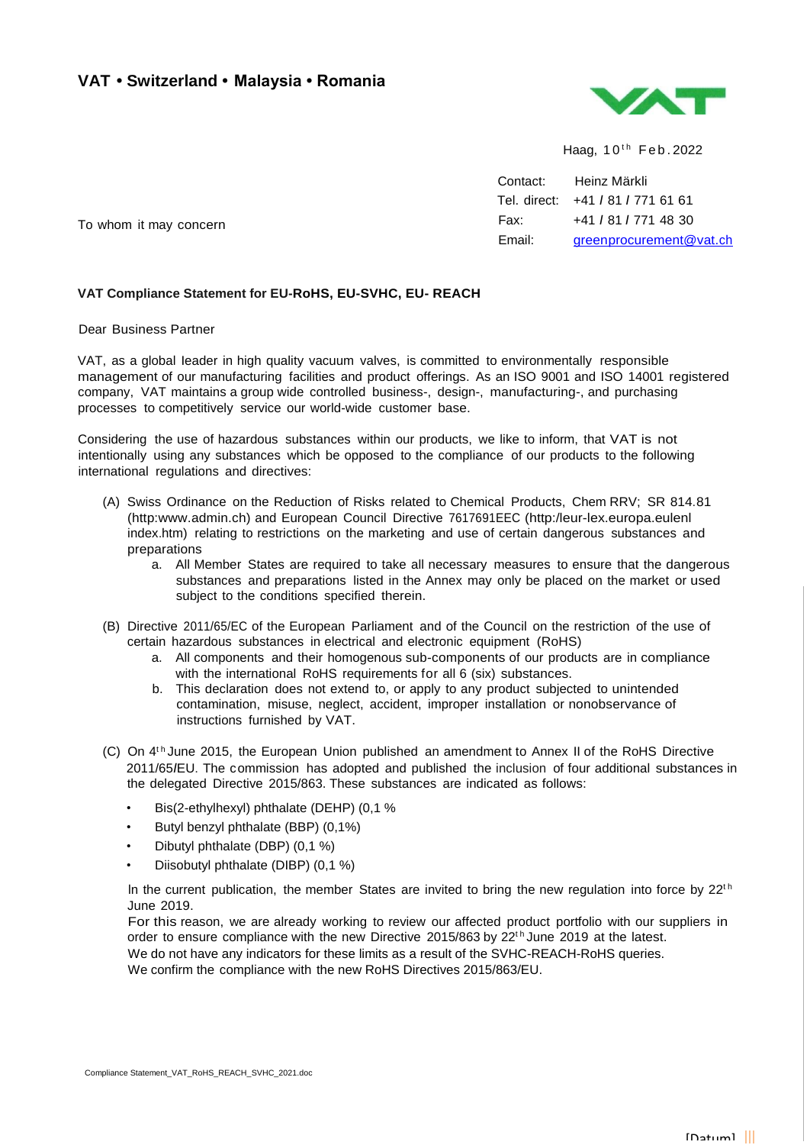## **VAT • Switzerland • Malaysia • Romania**



Haag,  $10^{th}$  Feb. 2022

Contact: Heinz Märkli Tel. direct: +41 *I* 81 *I* 771 61 61 Fax: +41 *I* 81 *I* 771 48 30 Email: [greenprocurement@vat.ch](mailto:greenprocurement@vat.ch)

To whom it may concern

## **VAT Compliance Statement for EU-RoHS, EU-SVHC, EU- REACH**

Dear Business Partner

VAT, as a global Ieader in high quality vacuum valves, is committed to environmentally responsible management of our manufacturing facilities and product offerings. As an ISO 9001 and ISO 14001 registered company, VAT maintains a group wide controlled business-, design-, manufacturing-, and purchasing processes to competitively service our world-wide customer base.

Considering the use of hazardous substances within our products, we like to inform, that VAT is not intentionally using any substances which be opposed to the compliance of our products to the following international regulations and directives:

- (A) Swiss Ordinance on the Reduction of Risks related to Chemical Products, Chem RRV; SR 814.81 (http:www.admin.ch) and European Council Directive 7617691EEC (http:/leur-lex.europa.eulenl index.htm) relating to restrictions on the marketing and use of certain dangerous substances and preparations
	- a. All Member States are required to take all necessary measures to ensure that the dangerous substances and preparations listed in the Annex may only be placed on the market or used subject to the conditions specified therein.
- (B) Directive 2011/65/EC of the European Parliament and of the Council on the restriction of the use of certain hazardous substances in electrical and electronic equipment (RoHS)
	- a. All components and their homogenous sub-components of our products are in compliance with the international RoHS requirements for all 6 (six) substances.
	- b. This declaration does not extend to, or apply to any product subjected to unintended contamination, misuse, neglect, accident, improper installation or nonobservance of instructions furnished by VAT.
- (C) On 4<sup>th</sup> June 2015, the European Union published an amendment to Annex II of the RoHS Directive 2011/65*I*EU. The commission has adopted and published the inclusion of four additional substances in the delegated Directive 2015/863. These substances are indicated as follows:
	- Bis(2-ethylhexyl) phthalate (DEHP) (0,1 %
	- Butyl benzyl phthalate (BBP) (0,1%)
	- Dibutyl phthalate (DBP) (0,1 %)
	- Diisobutyl phthalate (DIBP) (0,1 %)

In the current publication, the member States are invited to bring the new regulation into force by  $22<sup>th</sup>$ June 2019.

For this reason, we are already working to review our affected product portfolio with our suppliers in order to ensure compliance with the new Directive 2015/863 by 22<sup>th</sup> June 2019 at the latest. We do not have any indicators for these limits as a result of the SVHC-REACH-RoHS queries. We confirm the compliance with the new RoHS Directives 2015/863/EU.